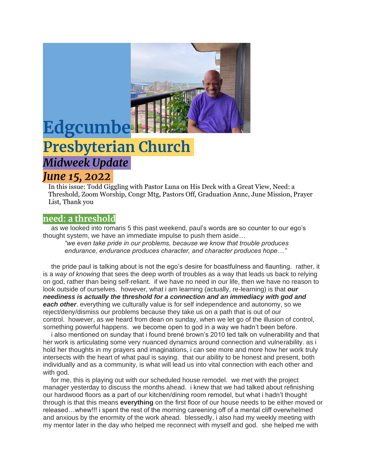

# **Edgcumbe Presbyterian Church** *Midweek Update*

## *June 15, 2022*

In this issue: Todd Giggling with Pastor Luna on His Deck with a Great View, Need: a Threshold, Zoom Worship, Congr Mtg, Pastors Off, Graduation Annc, June Mission, Prayer List, Thank you

#### **need: a threshold**

as we looked into romans 5 this past weekend, paul's words are so counter to our ego's thought system, we have an immediate impulse to push them aside…

*"we even take pride in our problems, because we know that trouble produces endurance, endurance produces character, and character produces hope…"*

the pride paul is talking about is not the ego's desire for boastfulness and flaunting. rather, it is a *way of knowing* that sees the deep worth of troubles as a way that leads us back to relying on god, rather than being self-reliant. if we have no need in our life, then we have no reason to look outside of ourselves. however, what i am learning (actually, re-learning) is that *our neediness is actually the threshold for a connection and an immediacy with god and each other*. everything we culturally value is for self independence and autonomy, so we reject/deny/dismiss our problems because they take us on a path that is out of our control. however, as we heard from dean on sunday, when we let go of the illusion of control, something powerful happens. we become open to god in a way we hadn't been before.

i also mentioned on sunday that i found brené brown's 2010 ted talk on vulnerability and that her work is articulating some very nuanced dynamics around connection and vulnerability. as i hold her thoughts in my prayers and imaginations, i can see more and more how her work truly intersects with the heart of what paul is saying. that our ability to be honest and present, both individually and as a community, is what will lead us into vital connection with each other and with god.

for me, this is playing out with our scheduled house remodel. we met with the project manager yesterday to discuss the months ahead. i knew that we had talked about refinishing our hardwood floors as a part of our kitchen/dining room remodel, but what i hadn't thought through is that this means **everything** on the first floor of our house needs to be either moved or released…whew!!! i spent the rest of the morning careening off of a mental cliff overwhelmed and anxious by the enormity of the work ahead. blessedly, i also had my weekly meeting with my mentor later in the day who helped me reconnect with myself and god. she helped me with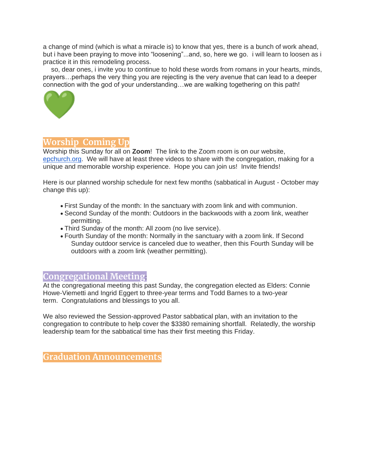a change of mind (which is what a miracle is) to know that yes, there is a bunch of work ahead, but i have been praying to move into "loosening"...and, so, here we go. i will learn to loosen as i practice it in this remodeling process.

so, dear ones, i invite you to continue to hold these words from romans in your hearts, minds, prayers…perhaps the very thing you are rejecting is the very avenue that can lead to a deeper connection with the god of your understanding…we are walking togethering on this path!



### **Worship Coming Up**

Worship this Sunday for all on **Zoom**! The link to the Zoom room is on our website, [epchurch.org.](http://epchurch.org/) We will have at least three videos to share with the congregation, making for a unique and memorable worship experience. Hope you can join us! Invite friends!

Here is our planned worship schedule for next few months (sabbatical in August - October may change this up):

- First Sunday of the month: In the sanctuary with zoom link and with communion.
- Second Sunday of the month: Outdoors in the backwoods with a zoom link, weather permitting.
- Third Sunday of the month: All zoom (no live service).
- Fourth Sunday of the month: Normally in the sanctuary with a zoom link. If Second Sunday outdoor service is canceled due to weather, then this Fourth Sunday will be outdoors with a zoom link (weather permitting).

#### **Congregational Meeting**:

At the congregational meeting this past Sunday, the congregation elected as Elders: Connie Howe-Viemetti and Ingrid Eggert to three-year terms and Todd Barnes to a two-year term. Congratulations and blessings to you all.

We also reviewed the Session-approved Pastor sabbatical plan, with an invitation to the congregation to contribute to help cover the \$3380 remaining shortfall. Relatedly, the worship leadership team for the sabbatical time has their first meeting this Friday.

**Graduation Announcements**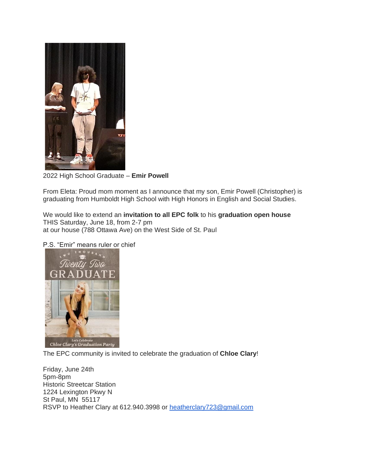

2022 High School Graduate – **Emir Powell**

From Eleta: Proud mom moment as I announce that my son, Emir Powell (Christopher) is graduating from Humboldt High School with High Honors in English and Social Studies.

We would like to extend an **invitation to all EPC folk** to his **graduation open house** THIS Saturday, June 18, from 2-7 pm at our house (788 Ottawa Ave) on the West Side of St. Paul

P.S. "Emir" means ruler or chief



The EPC community is invited to celebrate the graduation of **Chloe Clary**!

Friday, June 24th 5pm-8pm Historic Streetcar Station 1224 Lexington Pkwy N St Paul, MN 55117 RSVP to Heather Clary at 612.940.3998 or [heatherclary723@gmail.com](mailto:heatherclary723@gmail.com)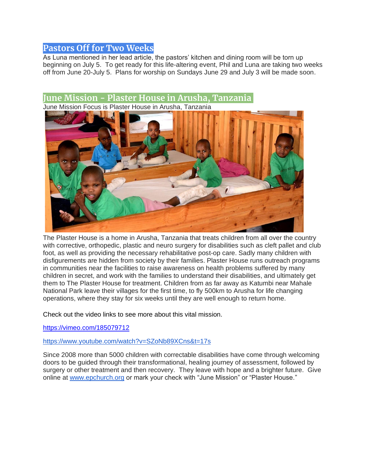#### **Pastors Off for Two Weeks**

As Luna mentioned in her lead article, the pastors' kitchen and dining room will be torn up beginning on July 5. To get ready for this life-altering event, Phil and Luna are taking two weeks off from June 20-July 5. Plans for worship on Sundays June 29 and July 3 will be made soon.

#### **June Mission - Plaster House in Arusha, Tanzania**

June Mission Focus is Plaster House in Arusha, Tanzania



The Plaster House is a home in Arusha, Tanzania that treats children from all over the country with corrective, orthopedic, plastic and neuro surgery for disabilities such as cleft pallet and club foot, as well as providing the necessary rehabilitative post-op care. Sadly many children with disfigurements are hidden from society by their families. Plaster House runs outreach programs in communities near the facilities to raise awareness on health problems suffered by many children in secret, and work with the families to understand their disabilities, and ultimately get them to The Plaster House for treatment. Children from as far away as Katumbi near Mahale National Park leave their villages for the first time, to fly 500km to Arusha for life changing operations, where they stay for six weeks until they are well enough to return home.

Check out the video links to see more about this vital mission.

<https://vimeo.com/185079712>

#### <https://www.youtube.com/watch?v=SZoNb89XCns&t=17s>

Since 2008 more than 5000 children with correctable disabilities have come through welcoming doors to be guided through their transformational, healing journey of assessment, followed by surgery or other treatment and then recovery. They leave with hope and a brighter future. Give online at [www.epchurch.org](http://www.epchurch.org/) or mark your check with "June Mission" or "Plaster House."